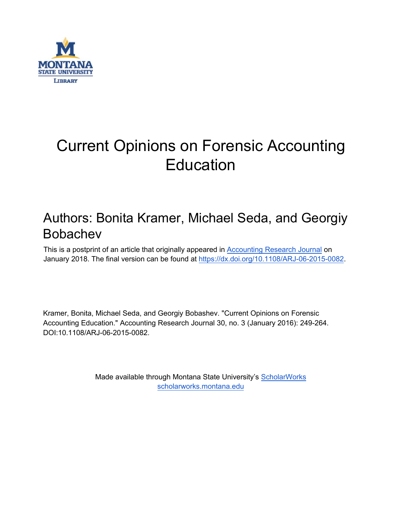

# Current Opinions on Forensic Accounting **Education**

# Authors: Bonita Kramer, Michael Seda, and Georgiy Bobachev

This is a postprint of an article that originally appeared in [Accounting](https://www.emeraldinsight.com/loi/arj) Research Journal on January 2018. The final version can be found at [https://dx.doi.org/10.1108/ARJ-06-2015-0082.](https://dx.doi.org/10.1108/ARJ-06-2015-0082)

Kramer, Bonita, Michael Seda, and Georgiy Bobashev. "Current Opinions on Forensic Accounting Education." Accounting Research Journal 30, no. 3 (January 2016): 249-264. DOI:10.1108/ARJ-06-2015-0082.

> Made available through Montana State University's [ScholarWorks](http://scholarworks.montana.edu/) [scholarworks.montana.edu](http://scholarworks.montana.edu/)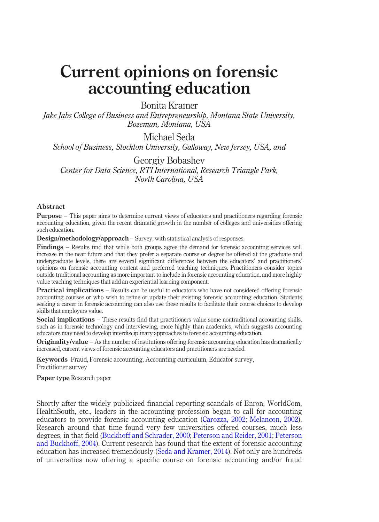# Current opinions on forensic accounting education

# Bonita Kramer

Jake Jabs College of Business and Entrepreneurship, Montana State University, Bozeman, Montana, USA

Michael Seda

School of Business, Stockton University, Galloway, New Jersey, USA, and

Georgiy Bobashev Center for Data Science, RTI International, Research Triangle Park, North Carolina, USA

#### Abstract

Purpose – This paper aims to determine current views of educators and practitioners regarding forensic accounting education, given the recent dramatic growth in the number of colleges and universities offering such education.

Design/methodology/approach – Survey, with statistical analysis of responses.

Findings – Results find that while both groups agree the demand for forensic accounting services will increase in the near future and that they prefer a separate course or degree be offered at the graduate and undergraduate levels, there are several significant differences between the educators' and practitioners' opinions on forensic accounting content and preferred teaching techniques. Practitioners consider topics outside traditional accounting as more important to include in forensic accounting education, and more highly value teaching techniques that add an experiential learning component.

**Practical implications** – Results can be useful to educators who have not considered offering forensic accounting courses or who wish to refine or update their existing forensic accounting education. Students seeking a career in forensic accounting can also use these results to facilitate their course choices to develop skills that employers value.

Social implications – These results find that practitioners value some nontraditional accounting skills, such as in forensic technology and interviewing, more highly than academics, which suggests accounting educators may need to develop interdisciplinary approaches to forensic accounting education.

Originality/value – As the number of institutions offering forensic accounting education has dramatically increased, current views of forensic accounting educators and practitioners are needed.

Keywords Fraud, Forensic accounting, Accounting curriculum, Educator survey, Practitioner survey

Paper type Research paper

Shortly after the widely publicized financial reporting scandals of Enron, WorldCom, HealthSouth, etc., leaders in the accounting profession began to call for accounting educators to provide forensic accounting education ([Carozza, 2002;](#page-14-0) [Melancon, 2002](#page-15-0)). Research around that time found very few universities offered courses, much less degrees, in that field ([Buckhoff and Schrader, 2000;](#page-14-1) [Peterson and Reider, 2001](#page-16-0); [Peterson](#page-15-1) [and Buckhoff, 2004](#page-15-1)). Current research has found that the extent of forensic accounting education has increased tremendously ([Seda and Kramer, 2014](#page-16-1)). Not only are hundreds of universities now offering a specific course on forensic accounting and/or fraud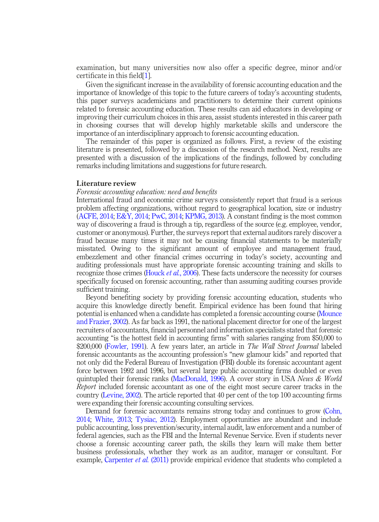examination, but many universities now also offer a specific degree, minor and/or certificate in this field[[1\]](#page-14-2).

Given the significant increase in the availability of forensic accounting education and the importance of knowledge of this topic to the future careers of today's accounting students, this paper surveys academicians and practitioners to determine their current opinions related to forensic accounting education. These results can aid educators in developing or improving their curriculum choices in this area, assist students interested in this career path in choosing courses that will develop highly marketable skills and underscore the importance of an interdisciplinary approach to forensic accounting education.

The remainder of this paper is organized as follows. First, a review of the existing literature is presented, followed by a discussion of the research method. Next, results are presented with a discussion of the implications of the findings, followed by concluding remarks including limitations and suggestions for future research.

#### Literature review

#### Forensic accounting education: need and benefits

International fraud and economic crime surveys consistently report that fraud is a serious problem affecting organizations, without regard to geographical location, size or industry [\(ACFE, 2014;](#page-14-3) [E&Y, 2014](#page-15-2); [PwC, 2014;](#page-16-2) [KPMG, 2013](#page-15-3)). A constant finding is the most common way of discovering a fraud is through a tip, regardless of the source (e.g. employee, vendor, customer or anonymous). Further, the surveys report that external auditors rarely discover a fraud because many times it may not be causing financial statements to be materially misstated. Owing to the significant amount of employee and management fraud, embezzlement and other financial crimes occurring in today's society, accounting and auditing professionals must have appropriate forensic accounting training and skills to recognize those crimes ([Houck](#page-15-4) et al., 2006). These facts underscore the necessity for courses specifically focused on forensic accounting, rather than assuming auditing courses provide sufficient training.

Beyond benefiting society by providing forensic accounting education, students who acquire this knowledge directly benefit. Empirical evidence has been found that hiring potential is enhanced when a candidate has completed a forensic accounting course [\(Mounce](#page-15-5) [and Frazier, 2002\)](#page-15-5). As far back as 1991, the national placement director for one of the largest recruiters of accountants, financial personnel and information specialists stated that forensic accounting "is the hottest field in accounting firms" with salaries ranging from \$50,000 to \$200,000 ([Fowler, 1991](#page-15-6)). A few years later, an article in The Wall Street Journal labeled forensic accountants as the accounting profession's "new glamour kids" and reported that not only did the Federal Bureau of Investigation (FBI) double its forensic accountant agent force between 1992 and 1996, but several large public accounting firms doubled or even quintupled their forensic ranks [\(MacDonald, 1996](#page-15-7)). A cover story in USA News  $& World$ Report included forensic accountant as one of the eight most secure career tracks in the country ([Levine, 2002](#page-15-8)). The article reported that 40 per cent of the top 100 accounting firms were expanding their forensic accounting consulting services.

Demand for forensic accountants remains strong today and continues to grow [\(Cohn,](#page-15-9) [2014](#page-15-9); [White, 2013](#page-16-3); [Tysiac, 2012](#page-16-4)). Employment opportunities are abundant and include public accounting, loss prevention/security, internal audit, law enforcement and a number of federal agencies, such as the FBI and the Internal Revenue Service. Even if students never choose a forensic accounting career path, the skills they learn will make them better business professionals, whether they work as an auditor, manager or consultant. For example, [Carpenter](#page-14-4) *et al.* (2011) provide empirical evidence that students who completed a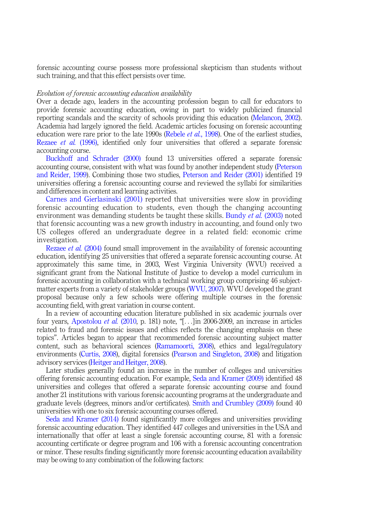forensic accounting course possess more professional skepticism than students without such training, and that this effect persists over time.

#### Evolution of forensic accounting education availability

Over a decade ago, leaders in the accounting profession began to call for educators to provide forensic accounting education, owing in part to widely publicized financial reporting scandals and the scarcity of schools providing this education [\(Melancon, 2002\)](#page-15-0). Academia had largely ignored the field. Academic articles focusing on forensic accounting education were rare prior to the late  $1990s$  ([Rebele](#page-16-5) *et al.*, 1998). One of the earliest studies, [Rezaee](#page-16-6) et al. (1996), identified only four universities that offered a separate forensic accounting course.

[Buckhoff and Schrader \(2000\)](#page-14-1) found 13 universities offered a separate forensic accounting course, consistent with what was found by another independent study [\(Peterson](#page-16-7) [and Reider, 1999\)](#page-16-7). Combining those two studies, [Peterson and Reider \(2001\)](#page-16-0) identified 19 universities offering a forensic accounting course and reviewed the syllabi for similarities and differences in content and learning activities.

[Carnes and Gierlasinski \(2001\)](#page-14-5) reported that universities were slow in providing forensic accounting education to students, even though the changing accounting environment was demanding students be taught these skills. [Bundy](#page-14-6) *et al.* (2003) noted that forensic accounting was a new growth industry in accounting, and found only two US colleges offered an undergraduate degree in a related field: economic crime investigation.

[Rezaee](#page-16-8) et al. (2004) found small improvement in the availability of forensic accounting education, identifying 25 universities that offered a separate forensic accounting course. At approximately this same time, in 2003, West Virginia University (WVU) received a significant grant from the National Institute of Justice to develop a model curriculum in forensic accounting in collaboration with a technical working group comprising 46 subjectmatter experts from a variety of stakeholder groups ([WVU, 2007\)](#page-16-9). WVU developed the grant proposal because only a few schools were offering multiple courses in the forensic accounting field, with great variation in course content.

In a review of accounting education literature published in six academic journals over four years, [Apostolou](#page-14-7) *et al.* (2010, p. 181) note, "[ $\ldots$ ] in 2006-2009, an increase in articles related to fraud and forensic issues and ethics reflects the changing emphasis on these topics". Articles began to appear that recommended forensic accounting subject matter content, such as behavioral sciences [\(Ramamoorti, 2008](#page-16-10)), ethics and legal/regulatory environments ([Curtis, 2008](#page-15-10)), digital forensics [\(Pearson and Singleton, 2008\)](#page-15-11) and litigation advisory services ([Heitger and Heitger, 2008\)](#page-15-12).

Later studies generally found an increase in the number of colleges and universities offering forensic accounting education. For example, [Seda and Kramer \(2009\)](#page-16-11) identified 48 universities and colleges that offered a separate forensic accounting course and found another 21 institutions with various forensic accounting programs at the undergraduate and graduate levels (degrees, minors and/or certificates). [Smith and Crumbley \(2009\)](#page-16-12) found 40 universities with one to six forensic accounting courses offered.

[Seda and Kramer \(2014\)](#page-16-1) found significantly more colleges and universities providing forensic accounting education. They identified 447 colleges and universities in the USA and internationally that offer at least a single forensic accounting course, 81 with a forensic accounting certificate or degree program and 106 with a forensic accounting concentration or minor. These results finding significantly more forensic accounting education availability may be owing to any combination of the following factors: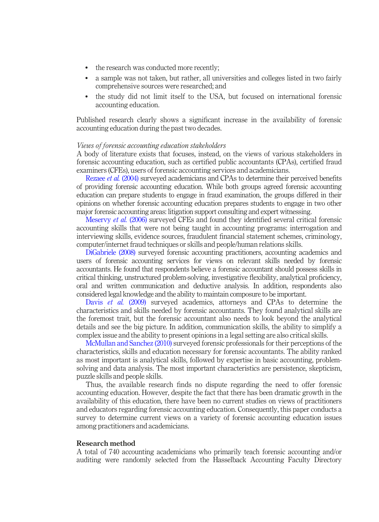- the research was conducted more recently;
- a sample was not taken, but rather, all universities and colleges listed in two fairly comprehensive sources were researched; and
- the study did not limit itself to the USA, but focused on international forensic accounting education.

Published research clearly shows a significant increase in the availability of forensic accounting education during the past two decades.

### Views of forensic accounting education stakeholders

A body of literature exists that focuses, instead, on the views of various stakeholders in forensic accounting education, such as certified public accountants (CPAs), certified fraud examiners (CFEs), users of forensic accounting services and academicians.

[Rezaee](#page-16-8) *et al.* (2004) surveyed academicians and CPAs to determine their perceived benefits of providing forensic accounting education. While both groups agreed forensic accounting education can prepare students to engage in fraud examination, the groups differed in their opinions on whether forensic accounting education prepares students to engage in two other major forensic accounting areas: litigation support consulting and expert witnessing.

[Meservy](#page-15-13) et al. (2006) surveyed CFEs and found they identified several critical forensic accounting skills that were not being taught in accounting programs: interrogation and interviewing skills, evidence sources, fraudulent financial statement schemes, criminology, computer/internet fraud techniques or skills and people/human relations skills.

[DiGabriele \(2008\)](#page-15-14) surveyed forensic accounting practitioners, accounting academics and users of forensic accounting services for views on relevant skills needed by forensic accountants. He found that respondents believe a forensic accountant should possess skills in critical thinking, unstructured problem-solving, investigative flexibility, analytical proficiency, oral and written communication and deductive analysis. In addition, respondents also considered legal knowledge and the ability to maintain composure to be important.

Davis et al. [\(2009\)](#page-15-15) surveyed academics, attorneys and CPAs to determine the characteristics and skills needed by forensic accountants. They found analytical skills are the foremost trait, but the forensic accountant also needs to look beyond the analytical details and see the big picture. In addition, communication skills, the ability to simplify a complex issue and the ability to present opinions in a legal setting are also critical skills.

[McMullan and Sanchez \(2010\)](#page-15-16) surveyed forensic professionals for their perceptions of the characteristics, skills and education necessary for forensic accountants. The ability ranked as most important is analytical skills, followed by expertise in basic accounting, problemsolving and data analysis. The most important characteristics are persistence, skepticism, puzzle skills and people skills.

Thus, the available research finds no dispute regarding the need to offer forensic accounting education. However, despite the fact that there has been dramatic growth in the availability of this education, there have been no current studies on views of practitioners and educators regarding forensic accounting education. Consequently, this paper conducts a survey to determine current views on a variety of forensic accounting education issues among practitioners and academicians.

#### Research method

A total of 740 accounting academicians who primarily teach forensic accounting and/or auditing were randomly selected from the Hasselback Accounting Faculty Directory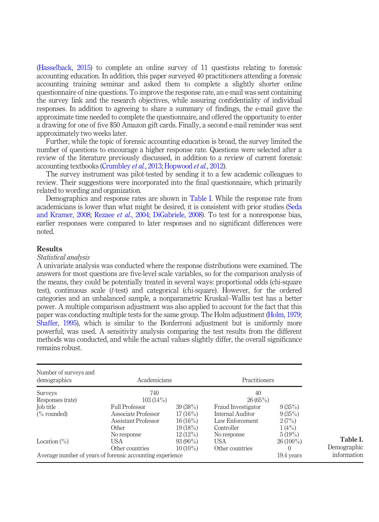[\(Hasselback, 2015\)](#page-15-17) to complete an online survey of 11 questions relating to forensic accounting education. In addition, this paper surveyed 40 practitioners attending a forensic accounting training seminar and asked them to complete a slightly shorter online questionnaire of nine questions. To improve the response rate, an e-mail was sent containing the survey link and the research objectives, while assuring confidentiality of individual responses. In addition to agreeing to share a summary of findings, the e-mail gave the approximate time needed to complete the questionnaire, and offered the opportunity to enter a drawing for one of five \$50 Amazon gift cards. Finally, a second e-mail reminder was sent approximately two weeks later.

Further, while the topic of forensic accounting education is broad, the survey limited the number of questions to encourage a higher response rate. Questions were selected after a review of the literature previously discussed, in addition to a review of current forensic accounting textbooks ([Crumbley](#page-15-18) *et al.*, 2013; [Hopwood](#page-15-19) *et al.*, 2012).

The survey instrument was pilot-tested by sending it to a few academic colleagues to review. Their suggestions were incorporated into the final questionnaire, which primarily related to wording and organization.

Demographics and response rates are shown in [Table I](#page-5-0). While the response rate from academicians is lower than what might be desired, it is consistent with prior studies ([Seda](#page-16-13) [and Kramer, 2008;](#page-16-13) [Rezaee](#page-16-8) et al., 2004; [DiGabriele, 2008](#page-15-14)). To test for a nonresponse bias, earlier responses were compared to later responses and no significant differences were noted.

# Results

# Statistical analysis

A univariate analysis was conducted where the response distributions were examined. The answers for most questions are five-level scale variables, so for the comparison analysis of the means, they could be potentially treated in several ways: proportional odds (chi-square test), continuous scale (t-test) and categorical (chi-square). However, for the ordered categories and an unbalanced sample, a nonparametric Kruskal–Wallis test has a better power. A multiple comparison adjustment was also applied to account for the fact that this paper was conducting multiple tests for the same group. The Holm adjustment ([Holm, 1979](#page-15-20); [Shaffer, 1995\)](#page-16-14), which is similar to the Bonferroni adjustment but is uniformly more powerful, was used. A sensitivity analysis comparing the test results from the different methods was conducted, and while the actual values slightly differ, the overall significance remains robust.

<span id="page-5-0"></span>

| Number of surveys and<br>demographics                                        | Academicians                                                                 |                                                              | <b>Practitioners</b>                                                                   |                                              |                                        |
|------------------------------------------------------------------------------|------------------------------------------------------------------------------|--------------------------------------------------------------|----------------------------------------------------------------------------------------|----------------------------------------------|----------------------------------------|
| Surveys<br>Responses (rate)                                                  | 740<br>$103(14\%)$                                                           |                                                              | 40<br>26(65%)                                                                          |                                              |                                        |
| Job title<br>$\frac{6}{6}$ rounded)                                          | <b>Full Professor</b><br>Associate Professor<br>Assistant Professor<br>Other | 39(38%)<br>$17(16\%)$<br>$16(16\%)$<br>19(18%)<br>$12(12\%)$ | Fraud Investigator<br>Internal Auditor<br>Law Enforcement<br>Controller<br>No response | 9(35%)<br>9(35%)<br>2(7%)<br>1(4%)<br>5(19%) |                                        |
| Location $(\%)$<br>Average number of years of forensic accounting experience | No response<br>USA<br>Other countries                                        | $93(90\%)$<br>$10(10\%)$                                     | USA<br>Other countries                                                                 | $26(100\%)$<br>19.4 years                    | Table I.<br>Demographic<br>information |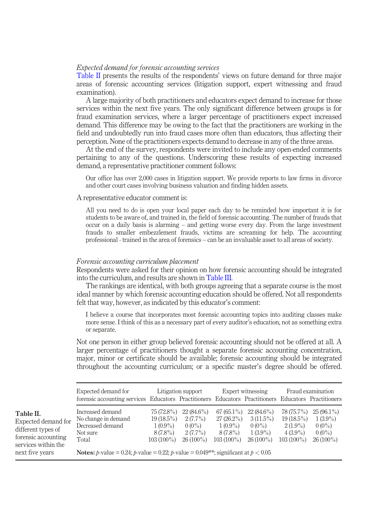# Expected demand for forensic accounting services

[Table II](#page-6-0) presents the results of the respondents' views on future demand for three major areas of forensic accounting services (litigation support, expert witnessing and fraud examination).

A large majority of both practitioners and educators expect demand to increase for those services within the next five years. The only significant difference between groups is for fraud examination services, where a larger percentage of practitioners expect increased demand. This difference may be owing to the fact that the practitioners are working in the field and undoubtedly run into fraud cases more often than educators, thus affecting their perception. None of the practitioners expects demand to decrease in any of the three areas.

At the end of the survey, respondents were invited to include any open-ended comments pertaining to any of the questions. Underscoring these results of expecting increased demand, a representative practitioner comment follows:

Our office has over 2,000 cases in litigation support. We provide reports to law firms in divorce and other court cases involving business valuation and finding hidden assets.

# A representative educator comment is:

All you need to do is open your local paper each day to be reminded how important it is for students to be aware of, and trained in, the field of forensic accounting. The number of frauds that occur on a daily basis is alarming – and getting worse every day. From the large investment frauds to smaller embezzlement frauds, victims are screaming for help. The accounting professional - trained in the area of forensics – can be an invaluable asset to all areas of society.

#### Forensic accounting curriculum placement

Respondents were asked for their opinion on how forensic accounting should be integrated into the curriculum, and results are shown in [Table III](#page-7-0).

The rankings are identical, with both groups agreeing that a separate course is the most ideal manner by which forensic accounting education should be offered. Not all respondents felt that way, however, as indicated by this educator's comment:

I believe a course that incorporates most forensic accounting topics into auditing classes make more sense. I think of this as a necessary part of every auditor's education, not as something extra or separate.

Not one person in either group believed forensic accounting should not be offered at all. A larger percentage of practitioners thought a separate forensic accounting concentration, major, minor or certificate should be available; forensic accounting should be integrated throughout the accounting curriculum; or a specific master's degree should be offered.

<span id="page-6-0"></span>

|                                                                                                                         | Expected demand for<br>forensic accounting services Educators Practitioners Educators Practitioners Educators Practitioners                                                                            |                                                                        | Litigation support                                                  |                                                                        | Expert witnessing                                                    |                                                                        | Fraud examination                                                 |
|-------------------------------------------------------------------------------------------------------------------------|--------------------------------------------------------------------------------------------------------------------------------------------------------------------------------------------------------|------------------------------------------------------------------------|---------------------------------------------------------------------|------------------------------------------------------------------------|----------------------------------------------------------------------|------------------------------------------------------------------------|-------------------------------------------------------------------|
| Table II.<br>Expected demand for<br>different types of<br>forensic accounting<br>services within the<br>next five years | Increased demand<br>No change in demand<br>Decreased demand<br>Not sure<br>Total<br><b>Notes:</b> <i>p</i> -value = 0.24; <i>p</i> -value = 0.22; <i>p</i> -value = 0.049**; significant at $p < 0.05$ | 75 (72.8%)<br>$19(18.5\%)$<br>$1(0.9\%)$<br>$8(7.8\%)$<br>$103(100\%)$ | $22(84.6\%)$<br>$2(7.7\%)$<br>$0(0\%)$<br>$2(7.7\%)$<br>$26(100\%)$ | $67(65.1\%)$<br>$27(26.2\%)$<br>$1(0.9\%)$<br>8 (7.8%)<br>$103(100\%)$ | $22(84.6\%)$<br>$3(11.5\%)$<br>$0(0\%)$<br>$1(3.9\%)$<br>$26(100\%)$ | 78 (75.7%)<br>$19(18.5\%)$<br>$2(1.9\%)$<br>$4(3.9\%)$<br>$103(100\%)$ | $25(96.1\%)$<br>$1(3.9\%)$<br>$0(0\%)$<br>$0(0\%)$<br>$26(100\%)$ |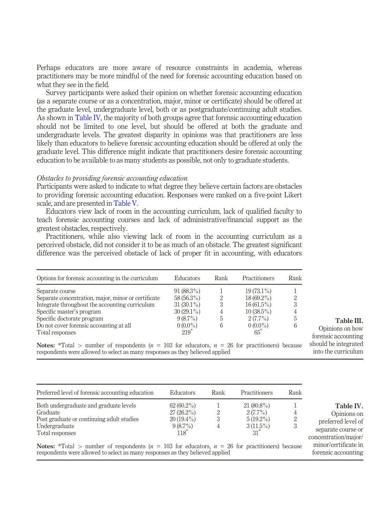Perhaps educators are more aware of resource constraints in academia, whereas practitioners may be more mindful of the need for forensic accounting education based on what they see in the field.

Survey participants were asked their opinion on whether forensic accounting education (as a separate course or as a concentration, major, minor or certificate) should be offered at the graduate level, undergraduate level, both or as postgraduate/continuing adult studies. As shown in [Table IV,](#page-7-1) the majority of both groups agree that forensic accounting education should not be limited to one level, but should be offered at both the graduate and undergraduate levels. The greatest disparity in opinions was that practitioners are less likely than educators to believe forensic accounting education should be offered at only the graduate level. This difference might indicate that practitioners desire forensic accounting education to be available to as many students as possible, not only to graduate students.

#### Obstacles to providing forensic accounting education

Participants were asked to indicate to what degree they believe certain factors are obstacles to providing forensic accounting education. Responses were ranked on a five-point Likert scale, and are presented in [Table V](#page-8-0).

Educators view lack of room in the accounting curriculum, lack of qualified faculty to teach forensic accounting courses and lack of administrative/financial support as the greatest obstacles, respectively.

Practitioners, while also viewing lack of room in the accounting curriculum as a perceived obstacle, did not consider it to be as much of an obstacle. The greatest significant difference was the perceived obstacle of lack of proper fit in accounting, with educators

| Options for forensic accounting in the curriculum   | <b>Educators</b> | Rank | Practitioners | Rank |
|-----------------------------------------------------|------------------|------|---------------|------|
| Separate course                                     | $91(88.3\%)$     |      | $19(73.1\%)$  |      |
| Separate concentration, major, minor or certificate | $58(56.3\%)$     | 2    | $18(69.2\%)$  | 2    |
| Integrate throughout the accounting curriculum      | $31(30.1\%)$     | 3    | $16(61.5\%)$  | 3    |
| Specific master's program                           | $30(29.1\%)$     | 4    | $10(38.5\%)$  | 4    |
| Specific doctorate program                          | $9(8.7\%)$       | 5    | $2(7.7\%)$    | 5    |
| Do not cover forensic accounting at all             | $0(0.0\%)$       | 6    | $0(0.0\%)$    | 6    |
| Total responses                                     | $219*$           |      | $65*$         |      |

Table III.

<span id="page-7-1"></span><span id="page-7-0"></span>Opinions on how forensic accounting should be integrated into the curriculum

Notes:  $*Total$  > number of respondents ( $n = 103$  for educators,  $n = 26$  for practitioners) because respondents were allowed to select as many responses as they believed applied

| Preferred level of forensic accounting education                                                                                                                                             | <b>Educators</b>                                                     | Rank | Practitioners                                                     | Rank |                                                                                              |
|----------------------------------------------------------------------------------------------------------------------------------------------------------------------------------------------|----------------------------------------------------------------------|------|-------------------------------------------------------------------|------|----------------------------------------------------------------------------------------------|
| Both undergraduate and graduate levels<br>Graduate<br>Post graduate or continuing adult studies<br>Undergraduate<br>Total responses                                                          | $62(60.2\%)$<br>$27(26.2\%)$<br>$20(19.4\%)$<br>$9(8.7\%)$<br>$118*$ | 2    | $21(80.8\%)$<br>$2(7.7\%)$<br>$5(19.2\%)$<br>$3(11.5\%)$<br>$31*$ |      | Table IV.<br>Opinions on<br>preferred level of<br>separate course or<br>concentration/major/ |
| <b>Notes:</b> *Total > number of respondents ( $n = 103$ for educators, $n = 26$ for practitioners) because<br>respondents were allowed to select as many responses as they believed applied |                                                                      |      |                                                                   |      | minor/certificate in<br>forensic accounting                                                  |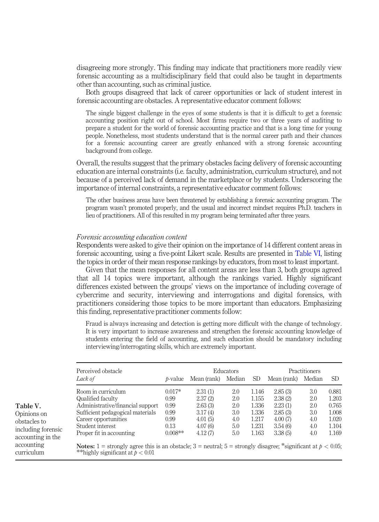disagreeing more strongly. This finding may indicate that practitioners more readily view forensic accounting as a multidisciplinary field that could also be taught in departments other than accounting, such as criminal justice.

Both groups disagreed that lack of career opportunities or lack of student interest in forensic accounting are obstacles. A representative educator comment follows:

The single biggest challenge in the eyes of some students is that it is difficult to get a forensic accounting position right out of school. Most firms require two or three years of auditing to prepare a student for the world of forensic accounting practice and that is a long time for young people. Nonetheless, most students understand that is the normal career path and their chances for a forensic accounting career are greatly enhanced with a strong forensic accounting background from college.

Overall, the results suggest that the primary obstacles facing delivery of forensic accounting education are internal constraints (i.e. faculty, administration, curriculum structure), and not because of a perceived lack of demand in the marketplace or by students. Underscoring the importance of internal constraints, a representative educator comment follows:

The other business areas have been threatened by establishing a forensic accounting program. The program wasn't promoted properly, and the usual and incorrect mindset requires Ph.D. teachers in lieu of practitioners. All of this resulted in my program being terminated after three years.

#### Forensic accounting education content

<span id="page-8-0"></span>Table V. Opinions on obstacles to including forensic accounting in the accounting curriculum

Respondents were asked to give their opinion on the importance of 14 different content areas in forensic accounting, using a five-point Likert scale. Results are presented in [Table VI](#page-9-0), listing the topics in order of their mean response rankings by educators, from most to least important.

Given that the mean responses for all content areas are less than 3, both groups agreed that all 14 topics were important, although the rankings varied. Highly significant differences existed between the groups' views on the importance of including coverage of cybercrime and security, interviewing and interrogations and digital forensics, with practitioners considering those topics to be more important than educators. Emphasizing this finding, representative practitioner comments follow:

Fraud is always increasing and detection is getting more difficult with the change of technology. It is very important to increase awareness and strengthen the forensic accounting knowledge of students entering the field of accounting, and such education should be mandatory including interviewing/interrogating skills, which are extremely important.

| Perceived obstacle                                                                                                                                           |                 |             | Educators |       | Practitioners |        |       |  |
|--------------------------------------------------------------------------------------------------------------------------------------------------------------|-----------------|-------------|-----------|-------|---------------|--------|-------|--|
| Lack of                                                                                                                                                      | <i>b</i> -value | Mean (rank) | Median    | SD.   | Mean (rank)   | Median | SD    |  |
| Room in curriculum                                                                                                                                           | $0.017*$        | 2.31(1)     | 2.0       | 1.146 | 2.85(3)       | 3.0    | 0.881 |  |
| Qualified faculty                                                                                                                                            | 0.99            | 2.37(2)     | 2.0       | 1.155 | 2.38(2)       | 2.0    | 1.203 |  |
| Administrative/financial support                                                                                                                             | 0.99            | 2.63(3)     | 2.0       | 1.336 | 2.23(1)       | 2.0    | 0.765 |  |
| Sufficient pedagogical materials                                                                                                                             | 0.99            | 3.17(4)     | 3.0       | 1.336 | 2.85(3)       | 3.0    | 1.008 |  |
| Career opportunities                                                                                                                                         | 0.99            | 4.01(5)     | 4.0       | 1.217 | 4.00(7)       | 4.0    | 1.020 |  |
| Student interest                                                                                                                                             | 0.13            | 4.07(6)     | 5.0       | 1.231 | 3.54(6)       | 4.0    | 1.104 |  |
| Proper fit in accounting                                                                                                                                     | $0.008**$       | 4.12(7)     | 5.0       | 1.163 | 3.38(5)       | 4.0    | 1.169 |  |
| <b>Notes:</b> 1 = strongly agree this is an obstacle; 3 = neutral; 5 = strongly disagree; *significant at $p < 0.05$ ;<br>**highly significant at $p < 0.01$ |                 |             |           |       |               |        |       |  |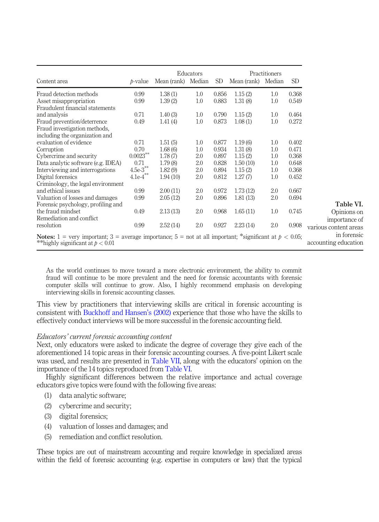|                                                                                                                  |                                    |                    | Educators |                 |             | Practitioners |       |
|------------------------------------------------------------------------------------------------------------------|------------------------------------|--------------------|-----------|-----------------|-------------|---------------|-------|
| Content area                                                                                                     | $b-value$                          | Mean (rank) Median |           | SD <sub>1</sub> | Mean (rank) | Median        | SD.   |
| Fraud detection methods                                                                                          | 0.99                               | 1.38(1)            | 1.0       | 0.856           | 1.15(2)     | 1.0           | 0.368 |
| Asset misappropriation                                                                                           | 0.99                               | 1.39(2)            | 1.0       | 0.883           | 1.31(8)     | 1.0           | 0.549 |
| Fraudulent financial statements                                                                                  |                                    |                    |           |                 |             |               |       |
| and analysis                                                                                                     | 0.71                               | 1.40(3)            | 1.0       | 0.790           | 1.15(2)     | 1.0           | 0.464 |
| Fraud prevention/deterrence                                                                                      | 0.49                               | 1.41(4)            | 1.0       | 0.873           | 1.08(1)     | 1.0           | 0.272 |
| Fraud investigation methods,                                                                                     |                                    |                    |           |                 |             |               |       |
| including the organization and                                                                                   |                                    |                    |           |                 |             |               |       |
| evaluation of evidence                                                                                           | 0.71                               | 1.51(5)            | 1.0       | 0.877           | 1.19(6)     | 1.0           | 0.402 |
| Corruption                                                                                                       | 0.70                               | 1.68(6)            | 1.0       | 0.934           | 1.31(8)     | 1.0           | 0.471 |
| Cybercrime and security                                                                                          | $0.0023***$                        | 1.78(7)            | 2.0       | 0.897           | 1.15(2)     | 1.0           | 0.368 |
| Data analytic software (e.g. IDEA)                                                                               | 0.71                               | 1.79(8)            | 2.0       | 0.828           | 1.50(10)    | 1.0           | 0.648 |
| Interviewing and interrogations                                                                                  | $4.5\mathrm{e}{\cdot3}^{\ast\ast}$ | 1.82(9)            | 2.0       | 0.894           | 1.15(2)     | 1.0           | 0.368 |
| Digital forensics                                                                                                | $4.1e-4***$                        | 1.94(10)           | 2.0       | 0.812           | 1.27(7)     | 1.0           | 0.452 |
| Criminology, the legal environment                                                                               |                                    |                    |           |                 |             |               |       |
| and ethical issues                                                                                               | 0.99                               | 2.00(11)           | 2.0       | 0.972           | 1.73(12)    | 2.0           | 0.667 |
| Valuation of losses and damages                                                                                  | 0.99                               | 2.05(12)           | 2.0       | 0.896           | 1.81(13)    | 2.0           | 0.694 |
| Forensic psychology, profiling and                                                                               |                                    |                    |           |                 |             |               |       |
| the fraud mindset                                                                                                | 0.49                               | 2.13(13)           | 2.0       | 0.968           | 1.65(11)    | 1.0           | 0.745 |
| Remediation and conflict                                                                                         |                                    |                    |           |                 |             |               |       |
| resolution                                                                                                       | 0.99                               | 2.52(14)           | 2.0       | 0.927           | 2.23(14)    | 2.0           | 0.908 |
| <b>Notes:</b> 1 = very important; 3 = average importance; 5 = not at all important; *significant at $p < 0.05$ ; |                                    |                    |           |                 |             |               |       |
| **highly significant at $p < 0.01$                                                                               |                                    |                    |           |                 |             |               |       |

<span id="page-9-0"></span>As the world continues to move toward a more electronic environment, the ability to commit fraud will continue to be more prevalent and the need for forensic accountants with forensic computer skills will continue to grow. Also, I highly recommend emphasis on developing interviewing skills in forensic accounting classes.

This view by practitioners that interviewing skills are critical in forensic accounting is consistent with [Buckhoff and Hansen](#page-14-8)'s (2002) experience that those who have the skills to effectively conduct interviews will be more successful in the forensic accounting field.

## Educators' current forensic accounting content

Next, only educators were asked to indicate the degree of coverage they give each of the aforementioned 14 topic areas in their forensic accounting courses. A five-point Likert scale was used, and results are presented in [Table VII](#page-10-0), along with the educators' opinion on the importance of the 14 topics reproduced from [Table VI](#page-9-0).

Highly significant differences between the relative importance and actual coverage educators give topics were found with the following five areas:

- (1) data analytic software;
- (2) cybercrime and security;
- (3) digital forensics;
- (4) valuation of losses and damages; and
- (5) remediation and conflict resolution.

These topics are out of mainstream accounting and require knowledge in specialized areas within the field of forensic accounting (e.g. expertise in computers or law) that the typical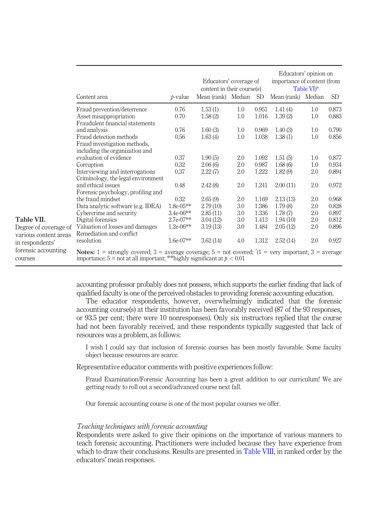|                                                              | Content area                                                                                                                                                                                                               | p-value                            | Educators' coverage of<br>content in their course(s)<br>Mean (rank) Median |                   | SD <sub>1</sub>         | Educators' opinion on<br>importance of content (from<br>Mean (rank) Median | Table VI <sup>a</sup> | SD.                     |
|--------------------------------------------------------------|----------------------------------------------------------------------------------------------------------------------------------------------------------------------------------------------------------------------------|------------------------------------|----------------------------------------------------------------------------|-------------------|-------------------------|----------------------------------------------------------------------------|-----------------------|-------------------------|
|                                                              | Fraud prevention/deterrence<br>Asset misappropriation<br>Fraudulent financial statements                                                                                                                                   | 0.76<br>0.70                       | 1.53(1)<br>1.58(2)                                                         | 1.0<br>1.0        | 0.951<br>1.016          | 1.41(4)<br>1.39(2)                                                         | 1.0<br>1.0            | 0.873<br>0.883          |
|                                                              | and analysis<br>Fraud detection methods<br>Fraud investigation methods,<br>including the organization and                                                                                                                  | 0.76<br>0.56                       | 1.60(3)<br>1.63(4)                                                         | 1.0<br>1.0        | 0.969<br>1.038          | 1.40(3)<br>1.38(1)                                                         | 1.0<br>1.0            | 0.790<br>0.856          |
|                                                              | evaluation of evidence<br>Corruption<br>Interviewing and interrogations                                                                                                                                                    | 0.37<br>0.32<br>0.37               | 1.90(5)<br>2.06(6)<br>2.22(7)                                              | 2.0<br>2.0<br>2.0 | 1.092<br>0.987<br>1.222 | 1.51(5)<br>1.68(6)<br>1.82(9)                                              | 1.0<br>1.0<br>2.0     | 0.877<br>0.934<br>0.894 |
|                                                              | Criminology, the legal environment<br>and ethical issues<br>Forensic psychology, profiling and                                                                                                                             | 0.48                               | 2.42(8)                                                                    | 2.0               | 1.241                   | 2.00(11)                                                                   | 2.0                   | 0.972                   |
|                                                              | the fraud mindset<br>Data analytic software (e.g. IDEA)<br>Cybercrime and security                                                                                                                                         | 0.32<br>$1.8e-05**$<br>$3.4e-06**$ | 2.65(9)<br>2.79(10)<br>2.85(11)                                            | 2.0<br>3.0<br>3.0 | 1.169<br>1.386<br>1.336 | 2.13(13)<br>1.79(8)<br>1.78(7)                                             | 2.0<br>2.0<br>2.0     | 0.968<br>0.828<br>0.897 |
| Table VII.<br>Degree of coverage of<br>various content areas | Digital forensics<br>Valuation of losses and damages<br>Remediation and conflict                                                                                                                                           | $2.7e-07**$<br>$1.2e-06**$         | 3.04(12)<br>3.19(13)                                                       | 3.0<br>3.0        | 1.413<br>1.484          | 1.94(10)<br>2.05(12)                                                       | 2.0<br>2.0            | 0.812<br>0.896          |
| in respondents'<br>forensic accounting<br>courses            | resolution<br><b>Notes:</b> 1 = strongly covered; 3 = average coverage; 5 = not covered; $^{\circ}$ (1 = very important; 3 = average<br>importance; $5 = \text{not at all important}$ ; **highly significant at $p < 0.01$ | $1.6e-07**$                        | 3.62(14)                                                                   | 4.0               | 1.312                   | 2.52(14)                                                                   | 2.0                   | 0.927                   |

<span id="page-10-0"></span>accounting professor probably does not possess, which supports the earlier finding that lack of qualified faculty is one of the perceived obstacles to providing forensic accounting education.

The educator respondents, however, overwhelmingly indicated that the forensic accounting course(s) at their institution has been favorably received (87 of the 93 responses, or 93.5 per cent; there were 10 nonresponses). Only six instructors replied that the course had not been favorably received, and these respondents typically suggested that lack of resources was a problem, as follows:

I wish I could say that inclusion of forensic courses has been mostly favorable. Some faculty object because resources are scarce.

Representative educator comments with positive experiences follow:

Fraud Examination/Forensic Accounting has been a great addition to our curriculum! We are getting ready to roll out a second/advanced course next fall.

Our forensic accounting course is one of the most popular courses we offer.

# Teaching techniques with forensic accounting

Respondents were asked to give their opinions on the importance of various manners to teach forensic accounting. Practitioners were included because they have experience from which to draw their conclusions. Results are presented in [Table VIII](#page-11-0), in ranked order by the educators' mean responses.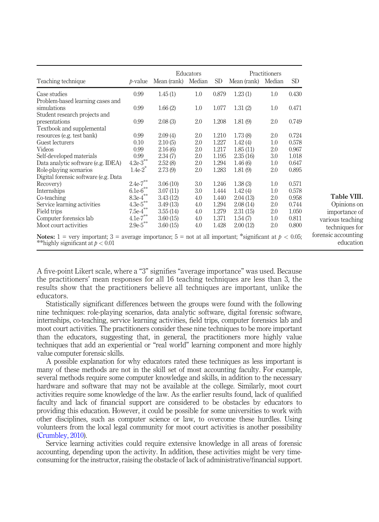|                                                                                                                                                        |                        |             | Educators |           |             | Practitioners |       |                                  |
|--------------------------------------------------------------------------------------------------------------------------------------------------------|------------------------|-------------|-----------|-----------|-------------|---------------|-------|----------------------------------|
| Teaching technique                                                                                                                                     | $b-value$              | Mean (rank) | Median    | <b>SD</b> | Mean (rank) | Median        | SD.   |                                  |
| Case studies                                                                                                                                           | 0.99                   | 1.45(1)     | 1.0       | 0.879     | 1.23(1)     | 1.0           | 0.430 |                                  |
| Problem-based learning cases and                                                                                                                       |                        |             |           |           |             |               |       |                                  |
| simulations                                                                                                                                            | 0.99                   | 1.66(2)     | 1.0       | 1.077     | 1.31(2)     | 1.0           | 0.471 |                                  |
| Student research projects and                                                                                                                          |                        |             |           |           |             |               |       |                                  |
| presentations                                                                                                                                          | 0.99                   | 2.08(3)     | 2.0       | 1.208     | 1.81(9)     | 2.0           | 0.749 |                                  |
| Textbook and supplemental                                                                                                                              |                        |             |           |           |             |               |       |                                  |
| resources (e.g. test bank)                                                                                                                             | 0.99                   | 2.09(4)     | 2.0       | 1.210     | 1.73(8)     | 2.0           | 0.724 |                                  |
| Guest lecturers                                                                                                                                        | 0.10                   | 2.10(5)     | 2.0       | 1.227     | 1.42(4)     | 1.0           | 0.578 |                                  |
| Videos                                                                                                                                                 | 0.99                   | 2.16(6)     | 2.0       | 1.217     | 1.85(11)    | 2.0           | 0.967 |                                  |
| Self-developed materials                                                                                                                               | 0.99                   | 2.34(7)     | 2.0       | 1.195     | 2.35(16)    | 3.0           | 1.018 |                                  |
| Data analytic software (e.g. IDEA)                                                                                                                     | $4.2e-3$ **            | 2.52(8)     | 2.0       | 1.294     | 1.46(6)     | 1.0           | 0.647 |                                  |
| Role-playing scenarios                                                                                                                                 | $1.4e-2$ <sup>*</sup>  | 2.73(9)     | 2.0       | 1.283     | 1.81(9)     | 2.0           | 0.895 |                                  |
| Digital forensic software (e.g. Data                                                                                                                   |                        |             |           |           |             |               |       |                                  |
| Recovery)                                                                                                                                              | $2.4e-7***$            | 3.06(10)    | 3.0       | 1.246     | 1.38(3)     | 1.0           | 0.571 |                                  |
| Internships                                                                                                                                            | $6.1e-6***$            | 3.07(11)    | 3.0       | 1.444     | 1.42(4)     | 1.0           | 0.578 |                                  |
| Co-teaching                                                                                                                                            | $8.3e-4$ <sup>**</sup> | 3.43(12)    | 4.0       | 1.440     | 2.04(13)    | 2.0           | 0.958 | Table VIII.                      |
| Service learning activities                                                                                                                            | $4.3e-5$ **            | 3.49(13)    | 4.0       | 1.294     | 2.08(14)    | 2.0           | 0.744 | Opinions on                      |
| Field trips                                                                                                                                            | $7.5e-4$ **            | 3.55(14)    | 4.0       | 1.279     | 2.31(15)    | 2.0           | 1.050 | importance of                    |
| Computer forensics lab                                                                                                                                 | $4.1e-7***$            | 3.60(15)    | 4.0       | 1.371     | 1.54(7)     | 1.0           | 0.811 | various teaching                 |
| Moot court activities                                                                                                                                  | $2.9e-5$ **            | 3.60(15)    | 4.0       | 1.428     | 2.00(12)    | 2.0           | 0.800 | techniques for                   |
| <b>Notes:</b> 1 = very important; 3 = average importance; 5 = not at all important; *significant at $p < 0.05$ ;<br>**highly significant at $p < 0.01$ |                        |             |           |           |             |               |       | forensic accounting<br>education |

<span id="page-11-0"></span>A five-point Likert scale, where a "3" signifies "average importance" was used. Because the practitioners' mean responses for all 16 teaching techniques are less than 3, the results show that the practitioners believe all techniques are important, unlike the educators.

Statistically significant differences between the groups were found with the following nine techniques: role-playing scenarios, data analytic software, digital forensic software, internships, co-teaching, service learning activities, field trips, computer forensics lab and moot court activities. The practitioners consider these nine techniques to be more important than the educators, suggesting that, in general, the practitioners more highly value techniques that add an experiential or "real world" learning component and more highly value computer forensic skills.

A possible explanation for why educators rated these techniques as less important is many of these methods are not in the skill set of most accounting faculty. For example, several methods require some computer knowledge and skills, in addition to the necessary hardware and software that may not be available at the college. Similarly, moot court activities require some knowledge of the law. As the earlier results found, lack of qualified faculty and lack of financial support are considered to be obstacles by educators to providing this education. However, it could be possible for some universities to work with other disciplines, such as computer science or law, to overcome these hurdles. Using volunteers from the local legal community for moot court activities is another possibility [\(Crumbley, 2010\)](#page-15-21).

Service learning activities could require extensive knowledge in all areas of forensic accounting, depending upon the activity. In addition, these activities might be very timeconsuming for the instructor, raising the obstacle of lack of administrative/financial support.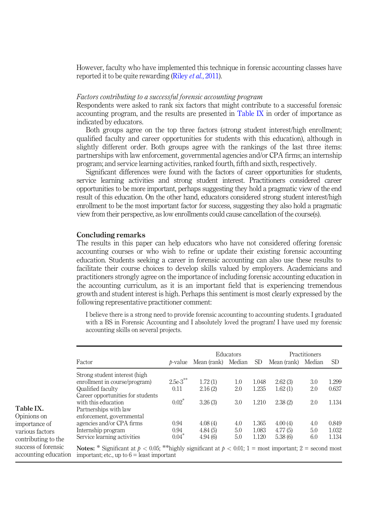However, faculty who have implemented this technique in forensic accounting classes have reported it to be quite rewarding (Riley *et al.*[, 2011\)](#page-16-15).

# Factors contributing to a successful forensic accounting program

Respondents were asked to rank six factors that might contribute to a successful forensic accounting program, and the results are presented in [Table IX](#page-12-0) in order of importance as indicated by educators.

Both groups agree on the top three factors (strong student interest/high enrollment; qualified faculty and career opportunities for students with this education), although in slightly different order. Both groups agree with the rankings of the last three items: partnerships with law enforcement, governmental agencies and/or CPA firms; an internship program; and service learning activities, ranked fourth, fifth and sixth, respectively.

Significant differences were found with the factors of career opportunities for students, service learning activities and strong student interest. Practitioners considered career opportunities to be more important, perhaps suggesting they hold a pragmatic view of the end result of this education. On the other hand, educators considered strong student interest/high enrollment to be the most important factor for success, suggesting they also hold a pragmatic view from their perspective, as low enrollments could cause cancellation of the course(s).

#### Concluding remarks

The results in this paper can help educators who have not considered offering forensic accounting courses or who wish to refine or update their existing forensic accounting education. Students seeking a career in forensic accounting can also use these results to facilitate their course choices to develop skills valued by employers. Academicians and practitioners strongly agree on the importance of including forensic accounting education in the accounting curriculum, as it is an important field that is experiencing tremendous growth and student interest is high. Perhaps this sentiment is most clearly expressed by the following representative practitioner comment:

I believe there is a strong need to provide forensic accounting to accounting students. I graduated with a BS in Forensic Accounting and I absolutely loved the program! I have used my forensic accounting skills on several projects.

<span id="page-12-0"></span>

|                                             |                                                                                                                                                                      |                 |                    | Educators  |                | Practitioners      |            |                |
|---------------------------------------------|----------------------------------------------------------------------------------------------------------------------------------------------------------------------|-----------------|--------------------|------------|----------------|--------------------|------------|----------------|
|                                             | Factor                                                                                                                                                               | <i>b</i> -value | Mean (rank) Median |            | SD.            | Mean (rank)        | Median     | SD.            |
|                                             | Strong student interest (high<br>enrollment in course/program)                                                                                                       | $2.5e-3$ **     | 1.72(1)            | 1.0        | 1.048          | 2.62(3)            | 3.0        | 1.299          |
|                                             | Qualified faculty                                                                                                                                                    | 0.11            | 2.16(2)            | 2.0        | 1.235          | 1.62(1)            | 2.0        | 0.637          |
| Table IX.                                   | Career opportunities for students<br>with this education<br>Partnerships with law                                                                                    | $0.02*$         | 3.26(3)            | 3.0        | 1.210          | 2.38(2)            | 2.0        | 1.134          |
| Opinions on<br>importance of                | enforcement, governmental<br>agencies and/or CPA firms<br>Internship program                                                                                         | 0.94<br>0.94    | 4.08(4)<br>4.84(5) | 4.0<br>5.0 | 1.365<br>1.083 | 4.00(4)<br>4.77(5) | 4.0<br>5.0 | 0.849<br>1.032 |
| various factors<br>contributing to the      | Service learning activities                                                                                                                                          | $0.04*$         | 4.94(6)            | 5.0        | 1.120          | 5.38(6)            | 6.0        | 1.134          |
| success of forensic<br>accounting education | <b>Notes:</b> * Significant at $p < 0.05$ ; **highly significant at $p < 0.01$ ; 1 = most important; 2 = second most<br>important; etc., up to $6 =$ least important |                 |                    |            |                |                    |            |                |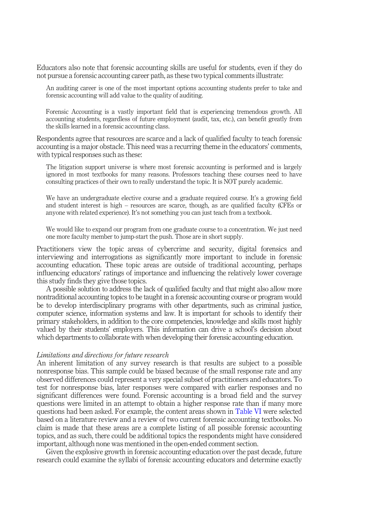Educators also note that forensic accounting skills are useful for students, even if they do not pursue a forensic accounting career path, as these two typical comments illustrate:

An auditing career is one of the most important options accounting students prefer to take and forensic accounting will add value to the quality of auditing.

Forensic Accounting is a vastly important field that is experiencing tremendous growth. All accounting students, regardless of future employment (audit, tax, etc.), can benefit greatly from the skills learned in a forensic accounting class.

Respondents agree that resources are scarce and a lack of qualified faculty to teach forensic accounting is a major obstacle. This need was a recurring theme in the educators' comments, with typical responses such as these:

The litigation support universe is where most forensic accounting is performed and is largely ignored in most textbooks for many reasons. Professors teaching these courses need to have consulting practices of their own to really understand the topic. It is NOT purely academic.

We have an undergraduate elective course and a graduate required course. It's a growing field and student interest is high – resources are scarce, though, as are qualified faculty (CFEs or anyone with related experience). It's not something you can just teach from a textbook.

We would like to expand our program from one graduate course to a concentration. We just need one more faculty member to jump-start the push. Those are in short supply.

Practitioners view the topic areas of cybercrime and security, digital forensics and interviewing and interrogations as significantly more important to include in forensic accounting education. These topic areas are outside of traditional accounting, perhaps influencing educators' ratings of importance and influencing the relatively lower coverage this study finds they give those topics.

A possible solution to address the lack of qualified faculty and that might also allow more nontraditional accounting topics to be taught in a forensic accounting course or program would be to develop interdisciplinary programs with other departments, such as criminal justice, computer science, information systems and law. It is important for schools to identify their primary stakeholders, in addition to the core competencies, knowledge and skills most highly valued by their students' employers. This information can drive a school's decision about which departments to collaborate with when developing their forensic accounting education.

### Limitations and directions for future research

An inherent limitation of any survey research is that results are subject to a possible nonresponse bias. This sample could be biased because of the small response rate and any observed differences could represent a very special subset of practitioners and educators. To test for nonresponse bias, later responses were compared with earlier responses and no significant differences were found. Forensic accounting is a broad field and the survey questions were limited in an attempt to obtain a higher response rate than if many more questions had been asked. For example, the content areas shown in [Table VI](#page-9-0) were selected based on a literature review and a review of two current forensic accounting textbooks. No claim is made that these areas are a complete listing of all possible forensic accounting topics, and as such, there could be additional topics the respondents might have considered important, although none was mentioned in the open-ended comment section.

Given the explosive growth in forensic accounting education over the past decade, future research could examine the syllabi of forensic accounting educators and determine exactly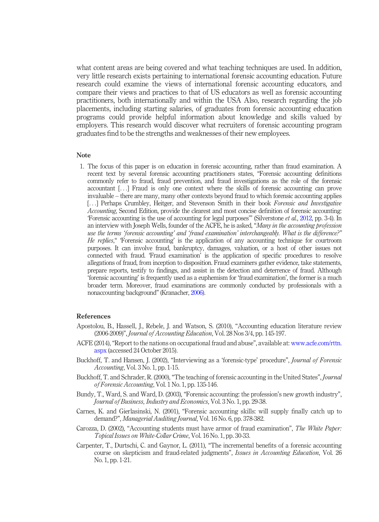what content areas are being covered and what teaching techniques are used. In addition, very little research exists pertaining to international forensic accounting education. Future research could examine the views of international forensic accounting educators, and compare their views and practices to that of US educators as well as forensic accounting practitioners, both internationally and within the USA Also, research regarding the job placements, including starting salaries, of graduates from forensic accounting education programs could provide helpful information about knowledge and skills valued by employers. This research would discover what recruiters of forensic accounting program graduates find to be the strengths and weaknesses of their new employees.

# Note

<span id="page-14-2"></span>1. The focus of this paper is on education in forensic accounting, rather than fraud examination. A recent text by several forensic accounting practitioners states, "Forensic accounting definitions commonly refer to fraud, fraud prevention, and fraud investigations as the role of the forensic accountant [...] Fraud is only one context where the skills of forensic accounting can prove invaluable – there are many, many other contexts beyond fraud to which forensic accounting applies [...] Perhaps Crumbley, Heitger, and Stevenson Smith in their book Forensic and Investigative Accounting, Second Edition, provide the clearest and most concise definition of forensic accounting: 'Forensic accounting is the use of accounting for legal purposes'" (Silverstone et al., [2012,](#page-16-16) pp. 3-4). In an interview with Joseph Wells, founder of the ACFE, he is asked, "Many in the accounting profession use the terms 'forensic accounting' and 'fraud examination' interchangeably. What is the difference?" He replies," 'Forensic accounting' is the application of any accounting technique for courtroom purposes. It can involve fraud, bankruptcy, damages, valuation, or a host of other issues not connected with fraud. 'Fraud examination' is the application of specific procedures to resolve allegations of fraud, from inception to disposition. Fraud examiners gather evidence, take statements, prepare reports, testify to findings, and assist in the detection and deterrence of fraud. Although 'forensic accounting' is frequently used as a euphemism for 'fraud examination', the former is a much broader term. Moreover, fraud examinations are commonly conducted by professionals with a nonaccounting background" (Kranacher, [2006\)](#page-15-22).

## References

- <span id="page-14-7"></span>Apostolou, B., Hassell, J., Rebele, J. and Watson, S. (2010), "Accounting education literature review (2006-2009)", Journal of Accounting Education, Vol. 28 Nos 3/4, pp. 145-197.
- <span id="page-14-3"></span>ACFE (2014), "Report to the nations on occupational fraud and abuse", available at: [www.acfe.com/rttn.](http://www.acfe.com/rttn.aspx) [aspx](http://www.acfe.com/rttn.aspx) (accessed 24 October 2015).
- <span id="page-14-8"></span>Buckhoff, T. and Hansen, J. (2002), "Interviewing as a 'forensic-type' procedure", Journal of Forensic Accounting, Vol. 3 No. 1, pp. 1-15.
- <span id="page-14-1"></span>Buckhoff, T. and Schrader, R. (2000), "The teaching of forensic accounting in the United States", *Journal* of Forensic Accounting, Vol. 1 No. 1, pp. 135-146.
- <span id="page-14-6"></span>Bundy, T., Ward, S. and Ward, D. (2003), "Forensic accounting: the profession's new growth industry", Journal of Business, Industry and Economics, Vol. 3 No. 1, pp. 29-38.
- <span id="page-14-5"></span>Carnes, K. and Gierlasinski, N. (2001), "Forensic accounting skills: will supply finally catch up to demand?", Managerial Auditing Journal, Vol. 16 No. 6, pp. 378-382.
- <span id="page-14-0"></span>Carozza, D. (2002), "Accounting students must have armor of fraud examination", The White Paper: Topical Issues on White-Collar Crime, Vol. 16 No. 1, pp. 30-33.
- <span id="page-14-4"></span>Carpenter, T., Durtschi, C. and Gaynor, L. (2011), "The incremental benefits of a forensic accounting course on skepticism and fraud-related judgments", Issues in Accounting Education, Vol. 26 No. 1, pp. 1-21.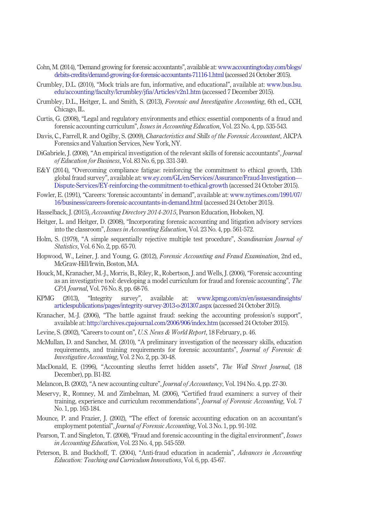- <span id="page-15-9"></span>Cohn, M. (2014),"Demand growing for forensic accountants", available at: [www.accountingtoday.com/blogs/](http://www.accountingtoday.com/blogs/debits-credits/demand-growing-for-forensic-accountants-71116-1.html) [debits-credits/demand-growing-for-forensic-accountants-71116-1.html](http://www.accountingtoday.com/blogs/debits-credits/demand-growing-for-forensic-accountants-71116-1.html) (accessed 24 October 2015).
- <span id="page-15-21"></span>Crumbley, D.L. (2010), "Mock trials are fun, informative, and educational", available at: [www.bus.lsu.](http://www.bus.lsu.edu/accounting/faculty/lcrumbley/jfia/Articles/v2n1.htm) [edu/accounting/faculty/lcrumbley/j](http://www.bus.lsu.edu/accounting/faculty/lcrumbley/jfia/Articles/v2n1.htm)fia/Articles/v2n1.htm (accessed 7 December 2015).
- <span id="page-15-18"></span>Crumbley, D.L., Heitger, L. and Smith, S. (2013), Forensic and Investigative Accounting, 6th ed., CCH, Chicago, IL.
- <span id="page-15-10"></span>Curtis, G. (2008), "Legal and regulatory environments and ethics: essential components of a fraud and forensic accounting curriculum", Issues in Accounting Education, Vol. 23 No. 4, pp. 535-543.
- <span id="page-15-15"></span>Davis, C., Farrell, R. and Ogilby, S. (2009), Characteristics and Skills of the Forensic Accountant, AICPA Forensics and Valuation Services, New York, NY.
- <span id="page-15-14"></span>DiGabriele, J. (2008), "An empirical investigation of the relevant skills of forensic accountants". *Iournal* of Education for Business, Vol. 83 No. 6, pp. 331-340.
- <span id="page-15-2"></span>E&Y (2014), "Overcoming compliance fatigue: reinforcing the commitment to ethical growth, 13th global fraud survey", available at: [ww.ey.com/GL/en/Services/Assurance/Fraud-Investigation](http://ww.ey.com/GL/en/Services/Assurance/Fraud-Investigation&hx2014;Dispute-Services/EY-reinforcing-the-commitment-to-ethical-growth)— [Dispute-Services/EY-reinforcing-the-commitment-to-ethical-growth](http://ww.ey.com/GL/en/Services/Assurance/Fraud-Investigation&hx2014;Dispute-Services/EY-reinforcing-the-commitment-to-ethical-growth) (accessed 24 October 2015).
- <span id="page-15-6"></span>Fowler, E. (1991), "Careers: 'forensic accountants' in demand", available at: [www.nytimes.com/1991/07/](http://www.nytimes.com/1991/07/16/business/careers-forensic-accountants-in-demand.html) [16/business/careers-forensic-accountants-in-demand.html](http://www.nytimes.com/1991/07/16/business/careers-forensic-accountants-in-demand.html) (accessed 24 October 2015).
- <span id="page-15-17"></span>Hasselback, J. (2015), *Accounting Directory 2014-2015*, Pearson Education, Hoboken, NJ.
- <span id="page-15-12"></span>Heitger, L. and Heitger, D. (2008), "Incorporating forensic accounting and litigation advisory services into the classroom", Issues in Accounting Education, Vol. 23 No. 4, pp. 561-572.
- <span id="page-15-20"></span>Holm, S. (1979), "A simple sequentially rejective multiple test procedure", Scandinavian Journal of Statistics, Vol. 6 No. 2, pp. 65-70.
- <span id="page-15-19"></span>Hopwood, W., Leiner, J. and Young, G. (2012), *Forensic Accounting and Fraud Examination*, 2nd ed., McGraw-Hill/Irwin, Boston, MA.
- <span id="page-15-4"></span>Houck, M., Kranacher, M.-J., Morris, B., Riley, R., Robertson, J. and Wells, J. (2006), "Forensic accounting as an investigative tool: developing a model curriculum for fraud and forensic accounting", The CPA Journal, Vol. 76 No. 8, pp. 68-76.
- <span id="page-15-3"></span>KPMG (2013), "Integrity survey", available at: www.kpmg.com/cn/en/issuesandinsights/ articlespublications/pages/integrity-survey-2013-o-201307.aspx (accessed 24 October 2015).
- <span id="page-15-22"></span>Kranacher, M.-J. (2006), "The battle against fraud: seeking the accounting profession's support", available at: <http://archives.cpajournal.com/2006/906/index.htm> (accessed 24 October 2015).
- <span id="page-15-8"></span>Levine, S. (2002), "Careers to count on", U.S. News & World Report, 18 February, p. 46.
- <span id="page-15-16"></span>McMullan, D. and Sanchez, M. (2010), "A preliminary investigation of the necessary skills, education requirements, and training requirements for forensic accountants", Journal of Forensic  $\&$ Investigative Accounting, Vol. 2 No. 2, pp. 30-48.
- <span id="page-15-7"></span>MacDonald, E. (1996), "Accounting sleuths ferret hidden assets", The Wall Street Journal, (18 December), pp. B1-B2.
- <span id="page-15-0"></span>Melancon, B. (2002), "A new accounting culture", *Journal of Accountancy*, Vol. 194 No. 4, pp. 27-30.
- <span id="page-15-13"></span>Meservy, R., Romney, M. and Zimbelman, M. (2006), "Certified fraud examiners: a survey of their training, experience and curriculum recommendations", Journal of Forensic Accounting, Vol. 7 No. 1, pp. 163-184.
- <span id="page-15-5"></span>Mounce, P. and Frazier, J. (2002), "The effect of forensic accounting education on an accountant's employment potential", *Journal of Forensic Accounting*, Vol. 3 No. 1, pp. 91-102.
- <span id="page-15-11"></span>Pearson, T. and Singleton, T. (2008), "Fraud and forensic accounting in the digital environment", Issues in Accounting Education, Vol. 23 No. 4, pp. 545-559.
- <span id="page-15-1"></span>Peterson, B. and Buckhoff, T. (2004), "Anti-fraud education in academia", Advances in Accounting Education: Teaching and Curriculum Innovations, Vol. 6, pp. 45-67.